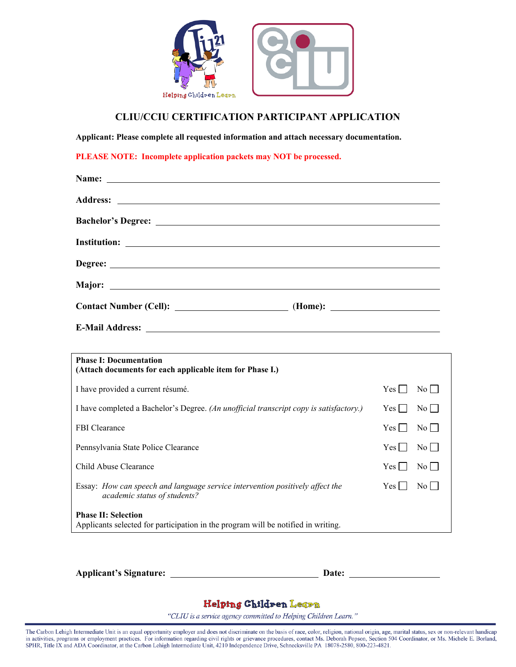

## **CLIU/CCIU CERTIFICATION PARTICIPANT APPLICATION**

**Applicant: Please complete all requested information and attach necessary documentation.** 

**PLEASE NOTE: Incomplete application packets may NOT be processed.** 

| Name: <u>Name:</u> Name: Name: Name: Name: Name: Name: Name: Name: Name: Name: Name: Name: Name: Name: Name: Name: Name: Name: Name: Name: Name: Name: Name: Name: Name: Name: Name: Name: Name: Name: Name: Name: Name: Name: Name |  |
|-------------------------------------------------------------------------------------------------------------------------------------------------------------------------------------------------------------------------------------|--|
|                                                                                                                                                                                                                                     |  |
|                                                                                                                                                                                                                                     |  |
|                                                                                                                                                                                                                                     |  |
|                                                                                                                                                                                                                                     |  |
|                                                                                                                                                                                                                                     |  |
|                                                                                                                                                                                                                                     |  |
|                                                                                                                                                                                                                                     |  |
| <u> 1989 - Andrea Santa Alemania, amerikana amerikana amerikana amerikana amerikana amerikana amerikana amerikan</u><br><b>Phase I: Documentation</b><br>(Attach documents for each applicable item for Phase I.)                   |  |

| (Attach documents for each applicable item for Phase I.)                                                             |                      |  |  |  |
|----------------------------------------------------------------------------------------------------------------------|----------------------|--|--|--|
| I have provided a current résumé.                                                                                    | Yes  <br>$\rm{No}$   |  |  |  |
| I have completed a Bachelor's Degree. (An unofficial transcript copy is satisfactory.)                               | Yes  <br>$\rm{No}$   |  |  |  |
| <b>FBI</b> Clearance                                                                                                 | Yes  <br>$\rm{No}$   |  |  |  |
| Pennsylvania State Police Clearance                                                                                  | Yes    <br>$\rm{No}$ |  |  |  |
| Child Abuse Clearance                                                                                                | Yes  <br>$\rm{No}$   |  |  |  |
| Essay: How can speech and language service intervention positively affect the<br><i>academic status of students?</i> | Yes  <br>No I        |  |  |  |
| <b>Phase II: Selection</b><br>Applicants selected for participation in the program will be notified in writing.      |                      |  |  |  |

**Applicant's Signature: Date:**

## Helping Children Learn

"CLIU is a service agency committed to Helping Children Learn."

The Carbon Lehigh Intermediate Unit is an equal opportunity employer and does not discriminate on the basis of race, color, religion, national origin, age, marital status, sex or non-relevant handicap in activities, programs or employment practices. For information regarding civil rights or grievance procedures, contact Ms. Deborah Popson, Section 504 Coordinator, or Ms. Michele E. Borland, SPHR, Title LX and ADA Coordi